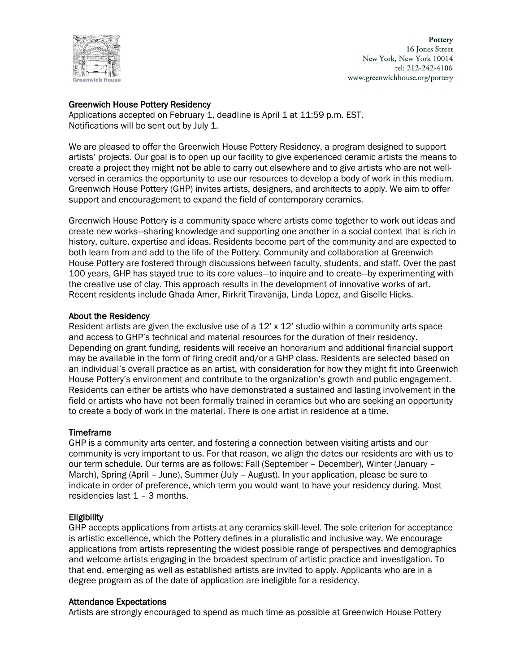

Pottery 16 Jones Street New York, New York 10014 tel: 212-242-4106 www.greenwichhouse.org/pottery

## Greenwich House Pottery Residency

Applications accepted on February 1, deadline is April 1 at 11:59 p.m. EST. Notifications will be sent out by July 1.

We are pleased to offer the Greenwich House Pottery Residency, a program designed to support artists' projects. Our goal is to open up our facility to give experienced ceramic artists the means to create a project they might not be able to carry out elsewhere and to give artists who are not wellversed in ceramics the opportunity to use our resources to develop a body of work in this medium. Greenwich House Pottery (GHP) invites artists, designers, and architects to apply. We aim to offer support and encouragement to expand the field of contemporary ceramics.

Greenwich House Pottery is a community space where artists come together to work out ideas and create new works—sharing knowledge and supporting one another in a social context that is rich in history, culture, expertise and ideas. Residents become part of the community and are expected to both learn from and add to the life of the Pottery. Community and collaboration at Greenwich House Pottery are fostered through discussions between faculty, students, and staff. Over the past 100 years, GHP has stayed true to its core values—to inquire and to create—by experimenting with the creative use of clay. This approach results in the development of innovative works of art. Recent residents include Ghada Amer, Rirkrit Tiravanija, Linda Lopez, and Giselle Hicks.

## About the Residency

Resident artists are given the exclusive use of a 12' x 12' studio within a community arts space and access to GHP's technical and material resources for the duration of their residency. Depending on grant funding, residents will receive an honorarium and additional financial support may be available in the form of firing credit and/or a GHP class. Residents are selected based on an individual's overall practice as an artist, with consideration for how they might fit into Greenwich House Pottery's environment and contribute to the organization's growth and public engagement. Residents can either be artists who have demonstrated a sustained and lasting involvement in the field or artists who have not been formally trained in ceramics but who are seeking an opportunity to create a body of work in the material. There is one artist in residence at a time.

## Timeframe

GHP is a community arts center, and fostering a connection between visiting artists and our community is very important to us. For that reason, we align the dates our residents are with us to our term schedule. Our terms are as follows: Fall (September – December), Winter (January – March), Spring (April – June), Summer (July – August). In your application, please be sure to indicate in order of preference, which term you would want to have your residency during. Most residencies last 1 – 3 months.

# **Eligibility**

GHP accepts applications from artists at any ceramics skill-level. The sole criterion for acceptance is artistic excellence, which the Pottery defines in a pluralistic and inclusive way. We encourage applications from artists representing the widest possible range of perspectives and demographics and welcome artists engaging in the broadest spectrum of artistic practice and investigation. To that end, emerging as well as established artists are invited to apply. Applicants who are in a degree program as of the date of application are ineligible for a residency.

## Attendance Expectations

Artists are strongly encouraged to spend as much time as possible at Greenwich House Pottery